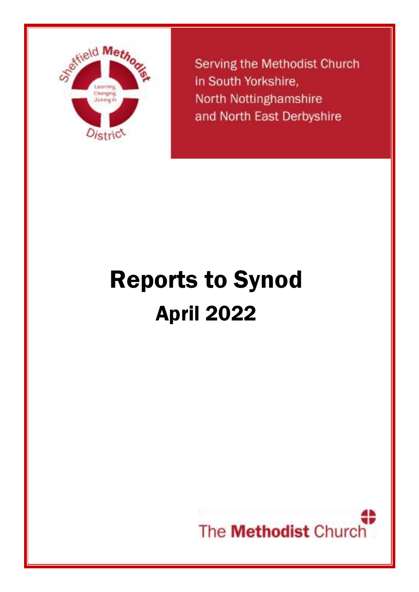

**Serving the Methodist Church** in South Yorkshire. North Nottinghamshire and North East Derbyshire

# Reports to Synod April 2022

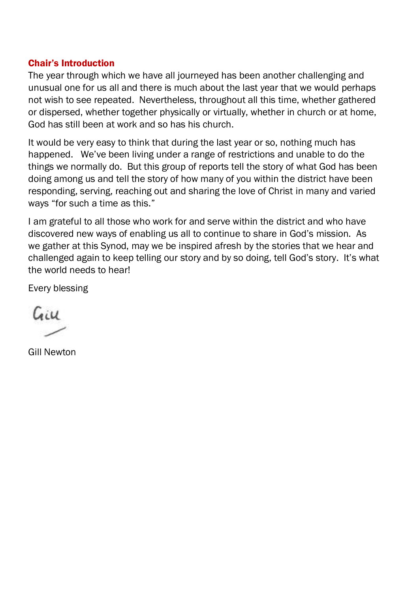#### Chair's Introduction

The year through which we have all journeyed has been another challenging and unusual one for us all and there is much about the last year that we would perhaps not wish to see repeated. Nevertheless, throughout all this time, whether gathered or dispersed, whether together physically or virtually, whether in church or at home, God has still been at work and so has his church.

It would be very easy to think that during the last year or so, nothing much has happened. We've been living under a range of restrictions and unable to do the things we normally do. But this group of reports tell the story of what God has been doing among us and tell the story of how many of you within the district have been responding, serving, reaching out and sharing the love of Christ in many and varied ways "for such a time as this."

I am grateful to all those who work for and serve within the district and who have discovered new ways of enabling us all to continue to share in God's mission. As we gather at this Synod, may we be inspired afresh by the stories that we hear and challenged again to keep telling our story and by so doing, tell God's story. It's what the world needs to hear!

Every blessing

Caiu

Gill Newton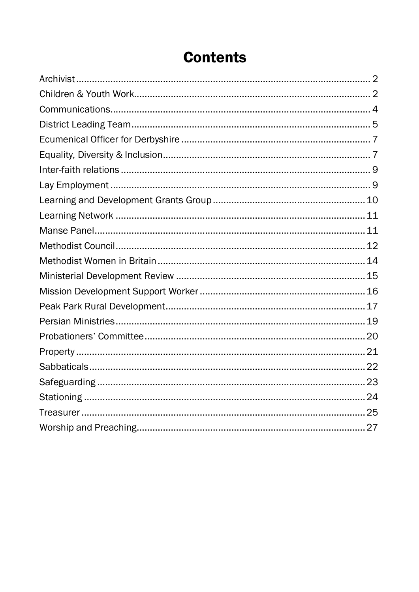## **Contents**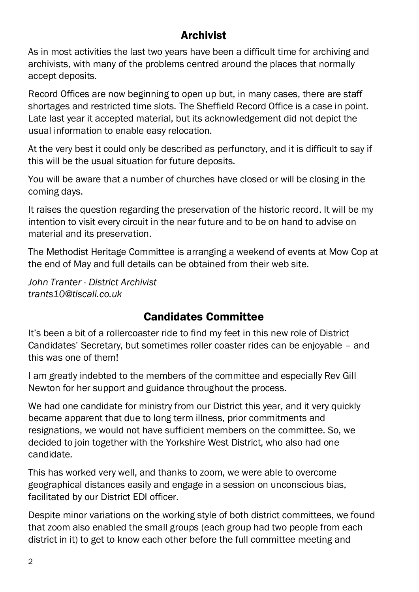## **Archivist**

<span id="page-3-0"></span>As in most activities the last two years have been a difficult time for archiving and archivists, with many of the problems centred around the places that normally accept deposits.

Record Offices are now beginning to open up but, in many cases, there are staff shortages and restricted time slots. The Sheffield Record Office is a case in point. Late last year it accepted material, but its acknowledgement did not depict the usual information to enable easy relocation.

At the very best it could only be described as perfunctory, and it is difficult to say if this will be the usual situation for future deposits.

You will be aware that a number of churches have closed or will be closing in the coming days.

It raises the question regarding the preservation of the historic record. It will be my intention to visit every circuit in the near future and to be on hand to advise on material and its preservation.

The Methodist Heritage Committee is arranging a weekend of events at Mow Cop at the end of May and full details can be obtained from their web site.

*John Tranter - District Archivist trants10@tiscali.co.uk*

## Candidates Committee

<span id="page-3-1"></span>It's been a bit of a rollercoaster ride to find my feet in this new role of District Candidates' Secretary, but sometimes roller coaster rides can be enjoyable – and this was one of them!

I am greatly indebted to the members of the committee and especially Rev Gill Newton for her support and guidance throughout the process.

We had one candidate for ministry from our District this year, and it very quickly became apparent that due to long term illness, prior commitments and resignations, we would not have sufficient members on the committee. So, we decided to join together with the Yorkshire West District, who also had one candidate.

This has worked very well, and thanks to zoom, we were able to overcome geographical distances easily and engage in a session on unconscious bias, facilitated by our District EDI officer.

Despite minor variations on the working style of both district committees, we found that zoom also enabled the small groups (each group had two people from each district in it) to get to know each other before the full committee meeting and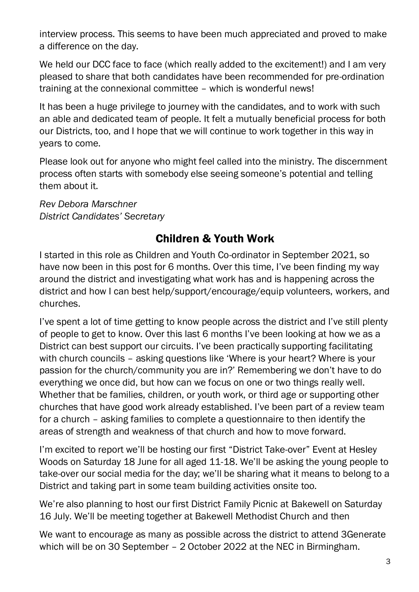interview process. This seems to have been much appreciated and proved to make a difference on the day.

We held our DCC face to face (which really added to the excitement!) and I am very pleased to share that both candidates have been recommended for pre-ordination training at the connexional committee – which is wonderful news!

It has been a huge privilege to journey with the candidates, and to work with such an able and dedicated team of people. It felt a mutually beneficial process for both our Districts, too, and I hope that we will continue to work together in this way in years to come.

Please look out for anyone who might feel called into the ministry. The discernment process often starts with somebody else seeing someone's potential and telling them about it.

*Rev Debora Marschner District Candidates' Secretary*

## Children & Youth Work

I started in this role as Children and Youth Co-ordinator in September 2021, so have now been in this post for 6 months. Over this time, I've been finding my way around the district and investigating what work has and is happening across the district and how I can best help/support/encourage/equip volunteers, workers, and churches.

I've spent a lot of time getting to know people across the district and I've still plenty of people to get to know. Over this last 6 months I've been looking at how we as a District can best support our circuits. I've been practically supporting facilitating with church councils – asking questions like 'Where is your heart? Where is your passion for the church/community you are in?' Remembering we don't have to do everything we once did, but how can we focus on one or two things really well. Whether that be families, children, or youth work, or third age or supporting other churches that have good work already established. I've been part of a review team for a church – asking families to complete a questionnaire to then identify the areas of strength and weakness of that church and how to move forward.

I'm excited to report we'll be hosting our first "District Take-over" Event at Hesley Woods on Saturday 18 June for all aged 11-18. We'll be asking the young people to take-over our social media for the day; we'll be sharing what it means to belong to a District and taking part in some team building activities onsite too.

We're also planning to host our first District Family Picnic at Bakewell on Saturday 16 July. We'll be meeting together at Bakewell Methodist Church and then

We want to encourage as many as possible across the district to attend 3Generate which will be on 30 September – 2 October 2022 at the NEC in Birmingham.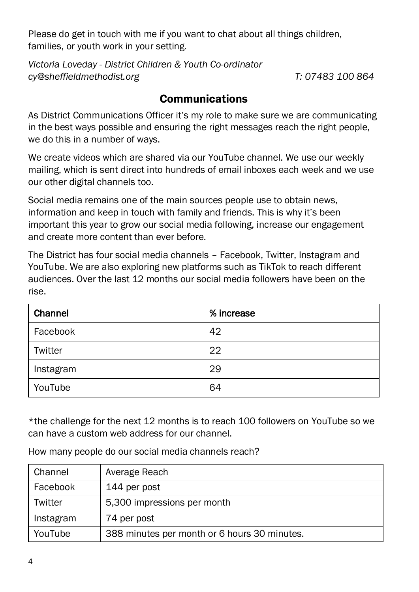Please do get in touch with me if you want to chat about all things children, families, or youth work in your setting.

*Victoria Loveday - District Children & Youth Co-ordinator [cy@sheffieldmethodist.org](mailto:cy@sheffieldmethodist.org) T: 07483 100 864*

### Communications

<span id="page-5-0"></span>As District Communications Officer it's my role to make sure we are communicating in the best ways possible and ensuring the right messages reach the right people, we do this in a number of ways.

We create videos which are shared via our YouTube channel. We use our weekly mailing, which is sent direct into hundreds of email inboxes each week and we use our other digital channels too.

Social media remains one of the main sources people use to obtain news, information and keep in touch with family and friends. This is why it's been important this year to grow our social media following, increase our engagement and create more content than ever before.

The District has four social media channels – Facebook, Twitter, Instagram and YouTube. We are also exploring new platforms such as TikTok to reach different audiences. Over the last 12 months our social media followers have been on the rise.

| Channel   | % increase |
|-----------|------------|
| Facebook  | 42         |
| Twitter   | 22         |
| Instagram | 29         |
| YouTube   | 64         |

\*the challenge for the next 12 months is to reach 100 followers on YouTube so we can have a custom web address for our channel.

| Channel   | Average Reach                                |
|-----------|----------------------------------------------|
| Facebook  | 144 per post                                 |
| Twitter   | 5,300 impressions per month                  |
| Instagram | 74 per post                                  |
| YouTube   | 388 minutes per month or 6 hours 30 minutes. |

How many people do our social media channels reach?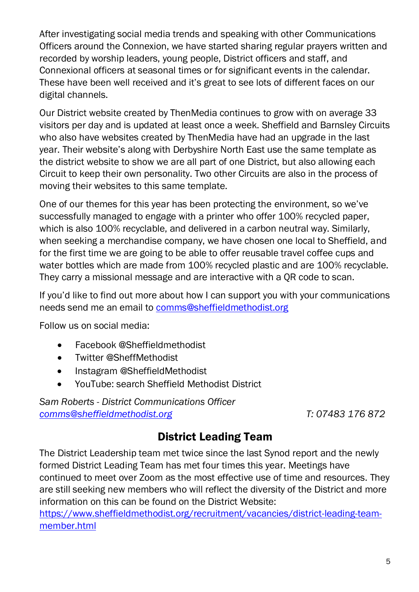After investigating social media trends and speaking with other Communications Officers around the Connexion, we have started sharing regular prayers written and recorded by worship leaders, young people, District officers and staff, and Connexional officers at seasonal times or for significant events in the calendar. These have been well received and it's great to see lots of different faces on our digital channels.

Our District website created by ThenMedia continues to grow with on average 33 visitors per day and is updated at least once a week. Sheffield and Barnsley Circuits who also have websites created by ThenMedia have had an upgrade in the last year. Their website's along with Derbyshire North East use the same template as the district website to show we are all part of one District, but also allowing each Circuit to keep their own personality. Two other Circuits are also in the process of moving their websites to this same template.

One of our themes for this year has been protecting the environment, so we've successfully managed to engage with a printer who offer 100% recycled paper, which is also 100% recyclable, and delivered in a carbon neutral way. Similarly, when seeking a merchandise company, we have chosen one local to Sheffield, and for the first time we are going to be able to offer reusable travel coffee cups and water bottles which are made from 100% recycled plastic and are 100% recyclable. They carry a missional message and are interactive with a QR code to scan.

If you'd like to find out more about how I can support you with your communications needs send me an email to [comms@sheffieldmethodist.org](mailto:comms@sheffieldmethodist.org)

Follow us on social media:

- Facebook @Sheffieldmethodist
- Twitter @SheffMethodist
- Instagram @SheffieldMethodist
- YouTube: search Sheffield Methodist District

*Sam Roberts - District Communications Officer [comms@sheffieldmethodist.org](mailto:comms@sheffieldmethodist.org) T: 07483 176 872*

## District Leading Team

<span id="page-6-0"></span>The District Leadership team met twice since the last Synod report and the newly formed District Leading Team has met four times this year. Meetings have continued to meet over Zoom as the most effective use of time and resources. They are still seeking new members who will reflect the diversity of the District and more information on this can be found on the District Website:

[https://www.sheffieldmethodist.org/recruitment/vacancies/district-leading-team](https://www.sheffieldmethodist.org/recruitment/vacancies/district-leading-team-member.html)[member.html](https://www.sheffieldmethodist.org/recruitment/vacancies/district-leading-team-member.html)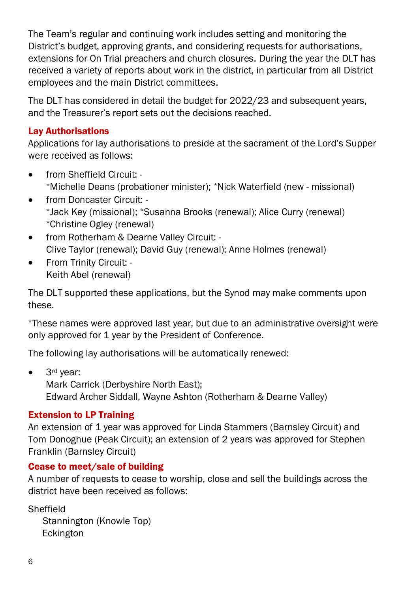The Team's regular and continuing work includes setting and monitoring the District's budget, approving grants, and considering requests for authorisations, extensions for On Trial preachers and church closures. During the year the DLT has received a variety of reports about work in the district, in particular from all District employees and the main District committees.

The DLT has considered in detail the budget for 2022/23 and subsequent years, and the Treasurer's report sets out the decisions reached.

#### Lay Authorisations

Applications for lay authorisations to preside at the sacrament of the Lord's Supper were received as follows:

- from Sheffield Circuit: \*Michelle Deans (probationer minister); \*Nick Waterfield (new - missional)
- from Doncaster Circuit: \*Jack Key (missional); \*Susanna Brooks (renewal); Alice Curry (renewal) \*Christine Ogley (renewal)
- from Rotherham & Dearne Valley Circuit: Clive Taylor (renewal); David Guy (renewal); Anne Holmes (renewal)
- From Trinity Circuit: Keith Abel (renewal)

The DLT supported these applications, but the Synod may make comments upon these.

\*These names were approved last year, but due to an administrative oversight were only approved for 1 year by the President of Conference.

The following lay authorisations will be automatically renewed:

• 3<sup>rd</sup> year: Mark Carrick (Derbyshire North East); Edward Archer Siddall, Wayne Ashton (Rotherham & Dearne Valley)

#### Extension to LP Training

An extension of 1 year was approved for Linda Stammers (Barnsley Circuit) and Tom Donoghue (Peak Circuit); an extension of 2 years was approved for Stephen Franklin (Barnsley Circuit)

#### Cease to meet/sale of building

A number of requests to cease to worship, close and sell the buildings across the district have been received as follows:

Sheffield

Stannington (Knowle Top) Eckington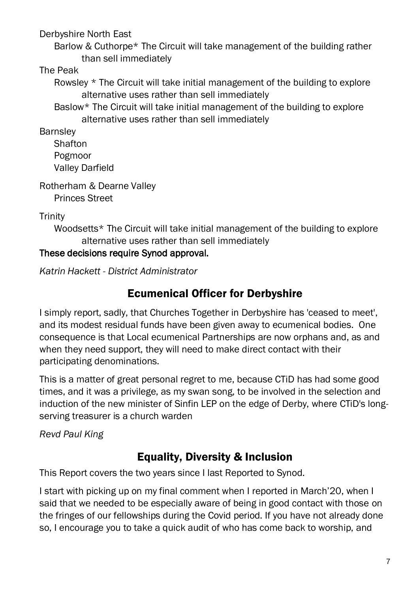Derbyshire North East

Barlow & Cuthorpe\* The Circuit will take management of the building rather than sell immediately

#### The Peak

Rowsley \* The Circuit will take initial management of the building to explore alternative uses rather than sell immediately

Baslow\* The Circuit will take initial management of the building to explore alternative uses rather than sell immediately

Barnsley

**Shafton** Pogmoor Valley Darfield

Rotherham & Dearne Valley Princes Street

**Trinity** 

Woodsetts\* The Circuit will take initial management of the building to explore alternative uses rather than sell immediately

#### These decisions require Synod approval.

<span id="page-8-0"></span>*Katrin Hackett - District Administrator*

## Ecumenical Officer for Derbyshire

I simply report, sadly, that Churches Together in Derbyshire has 'ceased to meet', and its modest residual funds have been given away to ecumenical bodies. One consequence is that Local ecumenical Partnerships are now orphans and, as and when they need support, they will need to make direct contact with their participating denominations.

This is a matter of great personal regret to me, because CTiD has had some good times, and it was a privilege, as my swan song, to be involved in the selection and induction of the new minister of Sinfin LEP on the edge of Derby, where CTiD's longserving treasurer is a church warden

<span id="page-8-1"></span>*Revd Paul King*

## Equality, Diversity & Inclusion

This Report covers the two years since I last Reported to Synod.

I start with picking up on my final comment when I reported in March'20, when I said that we needed to be especially aware of being in good contact with those on the fringes of our fellowships during the Covid period. If you have not already done so, I encourage you to take a quick audit of who has come back to worship, and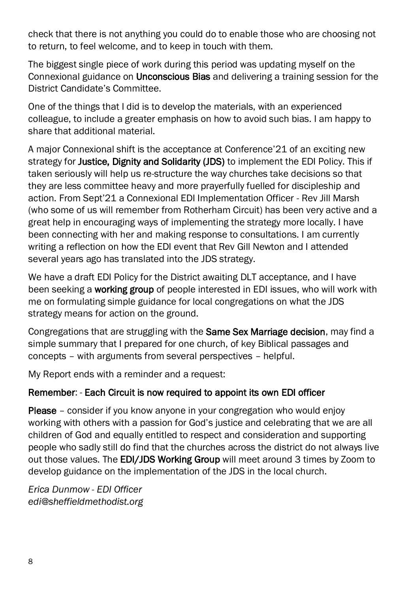check that there is not anything you could do to enable those who are choosing not to return, to feel welcome, and to keep in touch with them.

The biggest single piece of work during this period was updating myself on the Connexional guidance on Unconscious Bias and delivering a training session for the District Candidate's Committee.

One of the things that I did is to develop the materials, with an experienced colleague, to include a greater emphasis on how to avoid such bias. I am happy to share that additional material.

A major Connexional shift is the acceptance at Conference'21 of an exciting new strategy for Justice, Dignity and Solidarity (JDS) to implement the EDI Policy. This if taken seriously will help us re-structure the way churches take decisions so that they are less committee heavy and more prayerfully fuelled for discipleship and action. From Sept'21 a Connexional EDI Implementation Officer - Rev Jill Marsh (who some of us will remember from Rotherham Circuit) has been very active and a great help in encouraging ways of implementing the strategy more locally. I have been connecting with her and making response to consultations. I am currently writing a reflection on how the EDI event that Rev Gill Newton and I attended several years ago has translated into the JDS strategy.

We have a draft EDI Policy for the District awaiting DLT acceptance, and I have been seeking a **working group** of people interested in EDI issues, who will work with me on formulating simple guidance for local congregations on what the JDS strategy means for action on the ground.

Congregations that are struggling with the Same Sex Marriage decision, may find a simple summary that I prepared for one church, of key Biblical passages and concepts – with arguments from several perspectives – helpful.

My Report ends with a reminder and a request:

#### Remember: - Each Circuit is now required to appoint its own EDI officer

Please – consider if you know anyone in your congregation who would enjoy working with others with a passion for God's justice and celebrating that we are all children of God and equally entitled to respect and consideration and supporting people who sadly still do find that the churches across the district do not always live out those values. The EDI/JDS Working Group will meet around 3 times by Zoom to develop guidance on the implementation of the JDS in the local church.

*Erica Dunmow - EDI Officer edi@sheffieldmethodist.org*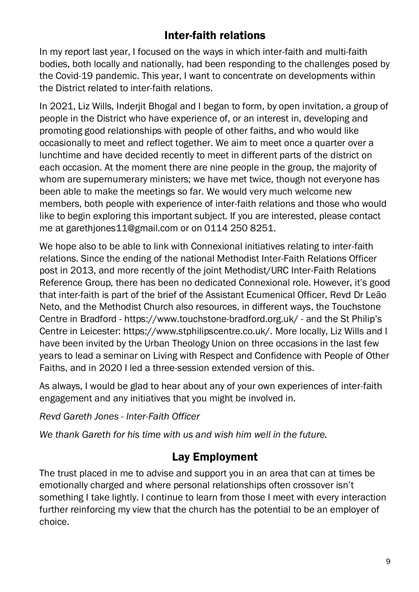## Inter-faith relations

<span id="page-10-0"></span>In my report last year, I focused on the ways in which inter-faith and multi-faith bodies, both locally and nationally, had been responding to the challenges posed by the Covid-19 pandemic. This year, I want to concentrate on developments within the District related to inter-faith relations.

In 2021, Liz Wills, Inderjit Bhogal and I began to form, by open invitation, a group of people in the District who have experience of, or an interest in, developing and promoting good relationships with people of other faiths, and who would like occasionally to meet and reflect together. We aim to meet once a quarter over a lunchtime and have decided recently to meet in different parts of the district on each occasion. At the moment there are nine people in the group, the majority of whom are supernumerary ministers; we have met twice, though not everyone has been able to make the meetings so far. We would very much welcome new members, both people with experience of inter-faith relations and those who would like to begin exploring this important subject. If you are interested, please contact me at garethjones11@gmail.com or on 0114 250 8251.

We hope also to be able to link with Connexional initiatives relating to inter-faith relations. Since the ending of the national Methodist Inter-Faith Relations Officer post in 2013, and more recently of the joint Methodist/URC Inter-Faith Relations Reference Group, there has been no dedicated Connexional role. However, it's good that inter-faith is part of the brief of the Assistant Ecumenical Officer, Revd Dr Leão Neto, and the Methodist Church also resources, in different ways, the Touchstone Centre in Bradford - https://www.touchstone-bradford.org.uk/ - and the St Philip's Centre in Leicester: https://www.stphilipscentre.co.uk/. More locally, Liz Wills and I have been invited by the Urban Theology Union on three occasions in the last few years to lead a seminar on Living with Respect and Confidence with People of Other Faiths, and in 2020 I led a three-session extended version of this.

As always, I would be glad to hear about any of your own experiences of inter-faith engagement and any initiatives that you might be involved in.

*Revd Gareth Jones - Inter-Faith Officer*

<span id="page-10-1"></span>*We thank Gareth for his time with us and wish him well in the future.*

## Lay Employment

The trust placed in me to advise and support you in an area that can at times be emotionally charged and where personal relationships often crossover isn't something I take lightly. I continue to learn from those I meet with every interaction further reinforcing my view that the church has the potential to be an employer of choice.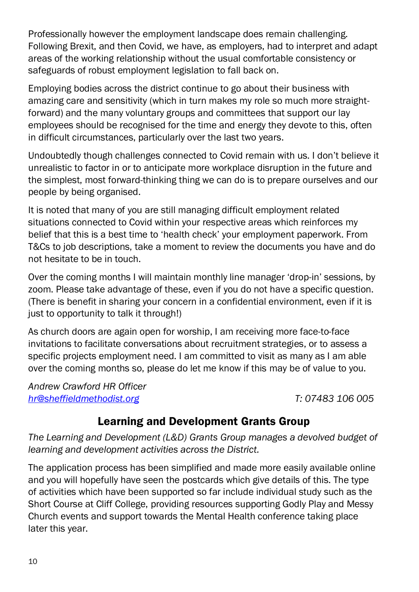Professionally however the employment landscape does remain challenging. Following Brexit, and then Covid, we have, as employers, had to interpret and adapt areas of the working relationship without the usual comfortable consistency or safeguards of robust employment legislation to fall back on.

Employing bodies across the district continue to go about their business with amazing care and sensitivity (which in turn makes my role so much more straightforward) and the many voluntary groups and committees that support our lay employees should be recognised for the time and energy they devote to this, often in difficult circumstances, particularly over the last two years.

Undoubtedly though challenges connected to Covid remain with us. I don't believe it unrealistic to factor in or to anticipate more workplace disruption in the future and the simplest, most forward-thinking thing we can do is to prepare ourselves and our people by being organised.

It is noted that many of you are still managing difficult employment related situations connected to Covid within your respective areas which reinforces my belief that this is a best time to 'health check' your employment paperwork. From T&Cs to job descriptions, take a moment to review the documents you have and do not hesitate to be in touch.

Over the coming months I will maintain monthly line manager 'drop-in' sessions, by zoom. Please take advantage of these, even if you do not have a specific question. (There is benefit in sharing your concern in a confidential environment, even if it is just to opportunity to talk it through!)

As church doors are again open for worship, I am receiving more face-to-face invitations to facilitate conversations about recruitment strategies, or to assess a specific projects employment need. I am committed to visit as many as I am able over the coming months so, please do let me know if this may be of value to you.

*Andrew Crawford HR Officer [hr@sheffieldmethodist.org](mailto:hr@sheffieldmethodist.org) T: 07483 106 005*

## Learning and Development Grants Group

<span id="page-11-0"></span>*The Learning and Development (L&D) Grants Group manages a devolved budget of learning and development activities across the District.*

The application process has been simplified and made more easily available online and you will hopefully have seen the postcards which give details of this. The type of activities which have been supported so far include individual study such as the Short Course at Cliff College, providing resources supporting Godly Play and Messy Church events and support towards the Mental Health conference taking place later this year.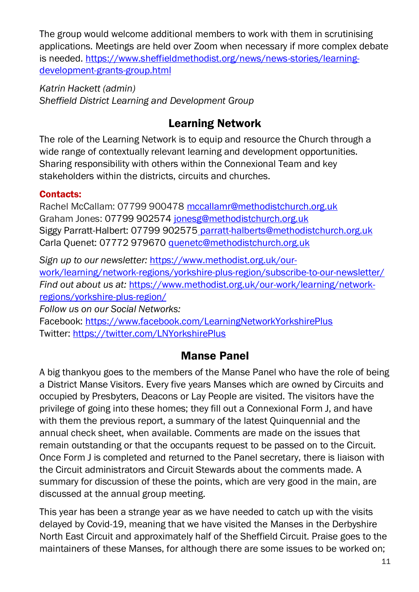The group would welcome additional members to work with them in scrutinising applications. Meetings are held over Zoom when necessary if more complex debate is needed. [https://www.sheffieldmethodist.org/news/news-stories/learning](https://www.sheffieldmethodist.org/news/news-stories/learning-development-grants-group.html)[development-grants-group.html](https://www.sheffieldmethodist.org/news/news-stories/learning-development-grants-group.html)

*Katrin Hackett (admin) Sheffield District Learning and Development Group*

## Learning Network

<span id="page-12-0"></span>The role of the Learning Network is to equip and resource the Church through a wide range of contextually relevant learning and development opportunities. Sharing responsibility with others within the Connexional Team and key stakeholders within the districts, circuits and churches.

### Contacts:

Rachel McCallam: 07799 900478 [mccallamr@methodistchurch.org.uk](mailto:mccallamr@methodistchurch.org.uk)  Graham Jones: 07799 902574 [jonesg@methodistchurch.org.uk](mailto:jonesg@methodistchurch.org.uk) Siggy Parratt-Halbert: 07799 902575 [parratt-halberts@methodistchurch.org.uk](mailto:parratt-halberts@methodistchurch.org.uk) Carla Quenet: 07772 979670 [quenetc@methodistchurch.org.uk](mailto:quenetc@methodistchurch.org.uk)

*Sign up to our newsletter:* [https://www.methodist.org.uk/our](https://www.methodist.org.uk/our-work/learning/network-regions/yorkshire-plus-region/subscribe-to-our-newsletter/)[work/learning/network-regions/yorkshire-plus-region/subscribe-to-our-newsletter/](https://www.methodist.org.uk/our-work/learning/network-regions/yorkshire-plus-region/subscribe-to-our-newsletter/) *Find out about us at:* [https://www.methodist.org.uk/our-work/learning/network](https://www.methodist.org.uk/our-work/learning/network-regions/yorkshire-plus-region/)[regions/yorkshire-plus-region/](https://www.methodist.org.uk/our-work/learning/network-regions/yorkshire-plus-region/)

*Follow us on our Social Networks:* 

<span id="page-12-1"></span>Facebook: <https://www.facebook.com/LearningNetworkYorkshirePlus> Twitter:<https://twitter.com/LNYorkshirePlus>

## Manse Panel

A big thankyou goes to the members of the Manse Panel who have the role of being a District Manse Visitors. Every five years Manses which are owned by Circuits and occupied by Presbyters, Deacons or Lay People are visited. The visitors have the privilege of going into these homes; they fill out a Connexional Form J, and have with them the previous report, a summary of the latest Quinquennial and the annual check sheet, when available. Comments are made on the issues that remain outstanding or that the occupants request to be passed on to the Circuit. Once Form J is completed and returned to the Panel secretary, there is liaison with the Circuit administrators and Circuit Stewards about the comments made. A summary for discussion of these the points, which are very good in the main, are discussed at the annual group meeting.

This year has been a strange year as we have needed to catch up with the visits delayed by Covid-19, meaning that we have visited the Manses in the Derbyshire North East Circuit and approximately half of the Sheffield Circuit. Praise goes to the maintainers of these Manses, for although there are some issues to be worked on;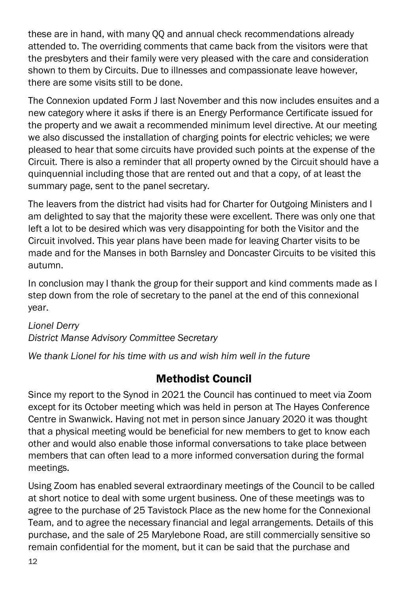these are in hand, with many QQ and annual check recommendations already attended to. The overriding comments that came back from the visitors were that the presbyters and their family were very pleased with the care and consideration shown to them by Circuits. Due to illnesses and compassionate leave however, there are some visits still to be done.

The Connexion updated Form J last November and this now includes ensuites and a new category where it asks if there is an Energy Performance Certificate issued for the property and we await a recommended minimum level directive. At our meeting we also discussed the installation of charging points for electric vehicles; we were pleased to hear that some circuits have provided such points at the expense of the Circuit. There is also a reminder that all property owned by the Circuit should have a quinquennial including those that are rented out and that a copy, of at least the summary page, sent to the panel secretary.

The leavers from the district had visits had for Charter for Outgoing Ministers and I am delighted to say that the majority these were excellent. There was only one that left a lot to be desired which was very disappointing for both the Visitor and the Circuit involved. This year plans have been made for leaving Charter visits to be made and for the Manses in both Barnsley and Doncaster Circuits to be visited this autumn.

In conclusion may I thank the group for their support and kind comments made as I step down from the role of secretary to the panel at the end of this connexional year.

#### *Lionel Derry District Manse Advisory Committee Secretary*

<span id="page-13-0"></span>*We thank Lionel for his time with us and wish him well in the future*

## Methodist Council

Since my report to the Synod in 2021 the Council has continued to meet via Zoom except for its October meeting which was held in person at The Hayes Conference Centre in Swanwick. Having not met in person since January 2020 it was thought that a physical meeting would be beneficial for new members to get to know each other and would also enable those informal conversations to take place between members that can often lead to a more informed conversation during the formal meetings.

Using Zoom has enabled several extraordinary meetings of the Council to be called at short notice to deal with some urgent business. One of these meetings was to agree to the purchase of 25 Tavistock Place as the new home for the Connexional Team, and to agree the necessary financial and legal arrangements. Details of this purchase, and the sale of 25 Marylebone Road, are still commercially sensitive so remain confidential for the moment, but it can be said that the purchase and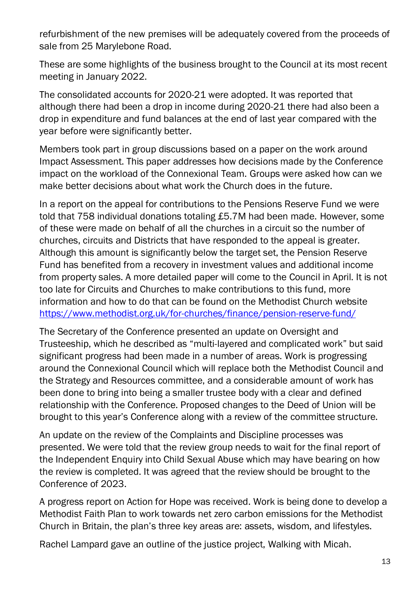refurbishment of the new premises will be adequately covered from the proceeds of sale from 25 Marylebone Road.

These are some highlights of the business brought to the Council at its most recent meeting in January 2022.

The consolidated accounts for 2020-21 were adopted. It was reported that although there had been a drop in income during 2020-21 there had also been a drop in expenditure and fund balances at the end of last year compared with the year before were significantly better.

Members took part in group discussions based on a paper on the work around Impact Assessment. This paper addresses how decisions made by the Conference impact on the workload of the Connexional Team. Groups were asked how can we make better decisions about what work the Church does in the future.

In a report on the appeal for contributions to the Pensions Reserve Fund we were told that 758 individual donations totaling £5.7M had been made. However, some of these were made on behalf of all the churches in a circuit so the number of churches, circuits and Districts that have responded to the appeal is greater. Although this amount is significantly below the target set, the Pension Reserve Fund has benefited from a recovery in investment values and additional income from property sales. A more detailed paper will come to the Council in April. It is not too late for Circuits and Churches to make contributions to this fund, more information and how to do that can be found on the Methodist Church website <https://www.methodist.org.uk/for-churches/finance/pension-reserve-fund/>

The Secretary of the Conference presented an update on Oversight and Trusteeship, which he described as "multi-layered and complicated work" but said significant progress had been made in a number of areas. Work is progressing around the Connexional Council which will replace both the Methodist Council and the Strategy and Resources committee, and a considerable amount of work has been done to bring into being a smaller trustee body with a clear and defined relationship with the Conference. Proposed changes to the Deed of Union will be brought to this year's Conference along with a review of the committee structure.

An update on the review of the Complaints and Discipline processes was presented. We were told that the review group needs to wait for the final report of the Independent Enquiry into Child Sexual Abuse which may have bearing on how the review is completed. It was agreed that the review should be brought to the Conference of 2023.

A progress report on Action for Hope was received. Work is being done to develop a Methodist Faith Plan to work towards net zero carbon emissions for the Methodist Church in Britain, the plan's three key areas are: assets, wisdom, and lifestyles.

Rachel Lampard gave an outline of the justice project, Walking with Micah.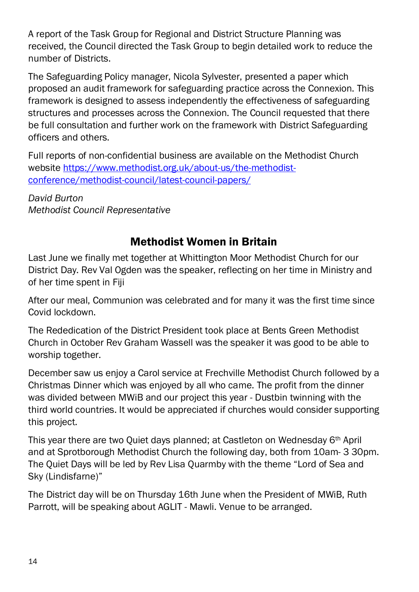A report of the Task Group for Regional and District Structure Planning was received, the Council directed the Task Group to begin detailed work to reduce the number of Districts.

The Safeguarding Policy manager, Nicola Sylvester, presented a paper which proposed an audit framework for safeguarding practice across the Connexion. This framework is designed to assess independently the effectiveness of safeguarding structures and processes across the Connexion. The Council requested that there be full consultation and further work on the framework with District Safeguarding officers and others.

Full reports of non-confidential business are available on the Methodist Church website [https://www.methodist.org.uk/about-us/the-methodist](https://www.methodist.org.uk/about-us/the-methodist-conference/methodist-council/latest-council-papers/)[conference/methodist-council/latest-council-papers/](https://www.methodist.org.uk/about-us/the-methodist-conference/methodist-council/latest-council-papers/)

*David Burton Methodist Council Representative*

## Methodist Women in Britain

<span id="page-15-0"></span>Last June we finally met together at Whittington Moor Methodist Church for our District Day. Rev Val Ogden was the speaker, reflecting on her time in Ministry and of her time spent in Fiji

After our meal, Communion was celebrated and for many it was the first time since Covid lockdown.

The Rededication of the District President took place at Bents Green Methodist Church in October Rev Graham Wassell was the speaker it was good to be able to worship together.

December saw us enjoy a Carol service at Frechville Methodist Church followed by a Christmas Dinner which was enjoyed by all who came. The profit from the dinner was divided between MWiB and our project this year - Dustbin twinning with the third world countries. It would be appreciated if churches would consider supporting this project.

This year there are two Quiet days planned; at Castleton on Wednesday 6th April and at Sprotborough Methodist Church the following day, both from 10am- 3 30pm. The Quiet Days will be led by Rev Lisa Quarmby with the theme "Lord of Sea and Sky (Lindisfarne)"

The District day will be on Thursday 16th June when the President of MWiB, Ruth Parrott, will be speaking about AGLIT - Mawli. Venue to be arranged.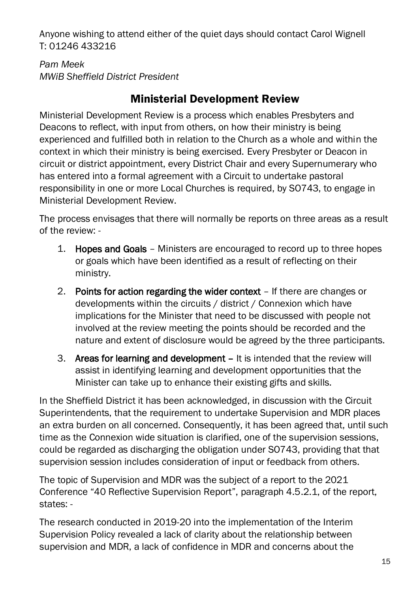Anyone wishing to attend either of the quiet days should contact Carol Wignell T: 01246 433216

*Pam Meek MWiB Sheffield District President*

## Ministerial Development Review

<span id="page-16-0"></span>Ministerial Development Review is a process which enables Presbyters and Deacons to reflect, with input from others, on how their ministry is being experienced and fulfilled both in relation to the Church as a whole and within the context in which their ministry is being exercised. Every Presbyter or Deacon in circuit or district appointment, every District Chair and every Supernumerary who has entered into a formal agreement with a Circuit to undertake pastoral responsibility in one or more Local Churches is required, by SO743, to engage in Ministerial Development Review.

The process envisages that there will normally be reports on three areas as a result of the review: -

- 1. Hopes and Goals Ministers are encouraged to record up to three hopes or goals which have been identified as a result of reflecting on their ministry.
- 2. Points for action regarding the wider context If there are changes or developments within the circuits / district / Connexion which have implications for the Minister that need to be discussed with people not involved at the review meeting the points should be recorded and the nature and extent of disclosure would be agreed by the three participants.
- 3. Areas for learning and development It is intended that the review will assist in identifying learning and development opportunities that the Minister can take up to enhance their existing gifts and skills.

In the Sheffield District it has been acknowledged, in discussion with the Circuit Superintendents, that the requirement to undertake Supervision and MDR places an extra burden on all concerned. Consequently, it has been agreed that, until such time as the Connexion wide situation is clarified, one of the supervision sessions, could be regarded as discharging the obligation under SO743, providing that that supervision session includes consideration of input or feedback from others.

The topic of Supervision and MDR was the subject of a report to the 2021 Conference "40 Reflective Supervision Report", paragraph 4.5.2.1, of the report, states: -

The research conducted in 2019-20 into the implementation of the Interim Supervision Policy revealed a lack of clarity about the relationship between supervision and MDR, a lack of confidence in MDR and concerns about the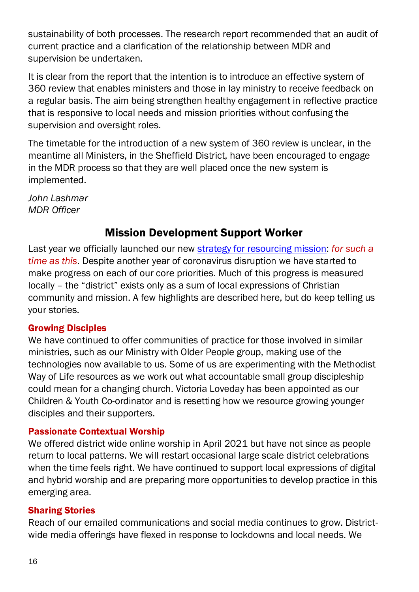sustainability of both processes. The research report recommended that an audit of current practice and a clarification of the relationship between MDR and supervision be undertaken.

It is clear from the report that the intention is to introduce an effective system of 360 review that enables ministers and those in lay ministry to receive feedback on a regular basis. The aim being strengthen healthy engagement in reflective practice that is responsive to local needs and mission priorities without confusing the supervision and oversight roles.

The timetable for the introduction of a new system of 360 review is unclear, in the meantime all Ministers, in the Sheffield District, have been encouraged to engage in the MDR process so that they are well placed once the new system is implemented.

*John Lashmar MDR Officer*

## Mission Development Support Worker

<span id="page-17-0"></span>Last year we officially launched our new [strategy for resourcing mission:](https://www.sheffieldmethodist.org/about-us/for-such-a-time-as-this.html) *for such a time as this*. Despite another year of coronavirus disruption we have started to make progress on each of our core priorities. Much of this progress is measured locally – the "district" exists only as a sum of local expressions of Christian community and mission. A few highlights are described here, but do keep telling us your stories.

#### Growing Disciples

We have continued to offer communities of practice for those involved in similar ministries, such as our Ministry with Older People group, making use of the technologies now available to us. Some of us are experimenting with the Methodist Way of Life resources as we work out what accountable small group discipleship could mean for a changing church. Victoria Loveday has been appointed as our Children & Youth Co-ordinator and is resetting how we resource growing younger disciples and their supporters.

#### Passionate Contextual Worship

We offered district wide online worship in April 2021 but have not since as people return to local patterns. We will restart occasional large scale district celebrations when the time feels right. We have continued to support local expressions of digital and hybrid worship and are preparing more opportunities to develop practice in this emerging area.

#### Sharing Stories

Reach of our emailed communications and social media continues to grow. Districtwide media offerings have flexed in response to lockdowns and local needs. We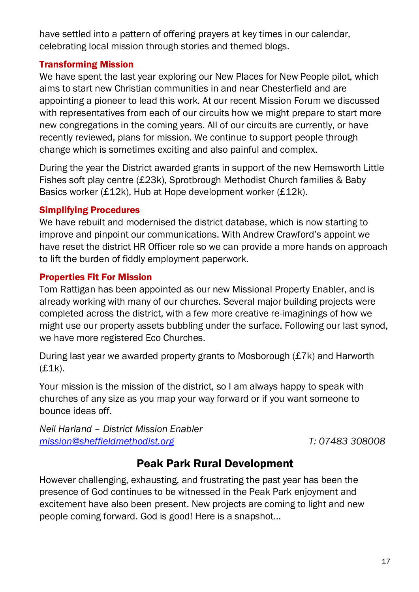have settled into a pattern of offering prayers at key times in our calendar, celebrating local mission through stories and themed blogs.

#### Transforming Mission

We have spent the last year exploring our New Places for New People pilot, which aims to start new Christian communities in and near Chesterfield and are appointing a pioneer to lead this work. At our recent Mission Forum we discussed with representatives from each of our circuits how we might prepare to start more new congregations in the coming years. All of our circuits are currently, or have recently reviewed, plans for mission. We continue to support people through change which is sometimes exciting and also painful and complex.

During the year the District awarded grants in support of the new Hemsworth Little Fishes soft play centre (£23k), Sprotbrough Methodist Church families & Baby Basics worker (£12k), Hub at Hope development worker (£12k).

#### Simplifying Procedures

We have rebuilt and modernised the district database, which is now starting to improve and pinpoint our communications. With Andrew Crawford's appoint we have reset the district HR Officer role so we can provide a more hands on approach to lift the burden of fiddly employment paperwork.

#### Properties Fit For Mission

Tom Rattigan has been appointed as our new Missional Property Enabler, and is already working with many of our churches. Several major building projects were completed across the district, with a few more creative re-imaginings of how we might use our property assets bubbling under the surface. Following our last synod, we have more registered Eco Churches.

During last year we awarded property grants to Mosborough (£7k) and Harworth (£1k).

Your mission is the mission of the district, so I am always happy to speak with churches of any size as you map your way forward or if you want someone to bounce ideas off.

*Neil Harland – District Mission Enabler [mission@sheffieldmethodist.org](mailto:mission@sheffieldmethodist.org) T: 07483 308008*

## Peak Park Rural Development

<span id="page-18-0"></span>However challenging, exhausting, and frustrating the past year has been the presence of God continues to be witnessed in the Peak Park enjoyment and excitement have also been present. New projects are coming to light and new people coming forward. God is good! Here is a snapshot…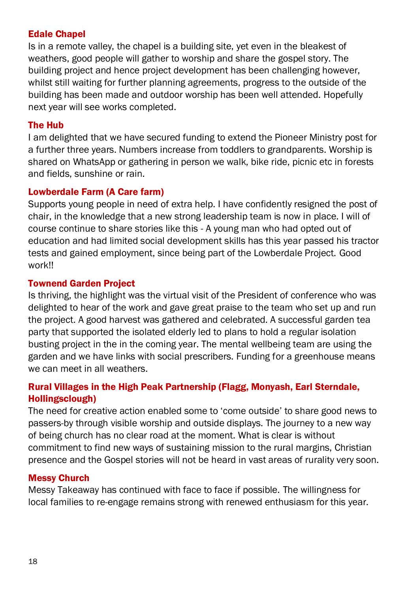#### Edale Chapel

Is in a remote valley, the chapel is a building site, yet even in the bleakest of weathers, good people will gather to worship and share the gospel story. The building project and hence project development has been challenging however, whilst still waiting for further planning agreements, progress to the outside of the building has been made and outdoor worship has been well attended. Hopefully next year will see works completed.

#### The Hub

I am delighted that we have secured funding to extend the Pioneer Ministry post for a further three years. Numbers increase from toddlers to grandparents. Worship is shared on WhatsApp or gathering in person we walk, bike ride, picnic etc in forests and fields, sunshine or rain.

#### Lowberdale Farm (A Care farm)

Supports young people in need of extra help. I have confidently resigned the post of chair, in the knowledge that a new strong leadership team is now in place. I will of course continue to share stories like this - A young man who had opted out of education and had limited social development skills has this year passed his tractor tests and gained employment, since being part of the Lowberdale Project. Good work!!

#### Townend Garden Project

Is thriving, the highlight was the virtual visit of the President of conference who was delighted to hear of the work and gave great praise to the team who set up and run the project. A good harvest was gathered and celebrated. A successful garden tea party that supported the isolated elderly led to plans to hold a regular isolation busting project in the in the coming year. The mental wellbeing team are using the garden and we have links with social prescribers. Funding for a greenhouse means we can meet in all weathers.

#### Rural Villages in the High Peak Partnership (Flagg, Monyash, Earl Sterndale, Hollingsclough)

The need for creative action enabled some to 'come outside' to share good news to passers-by through visible worship and outside displays. The journey to a new way of being church has no clear road at the moment. What is clear is without commitment to find new ways of sustaining mission to the rural margins, Christian presence and the Gospel stories will not be heard in vast areas of rurality very soon.

#### Messy Church

Messy Takeaway has continued with face to face if possible. The willingness for local families to re-engage remains strong with renewed enthusiasm for this year.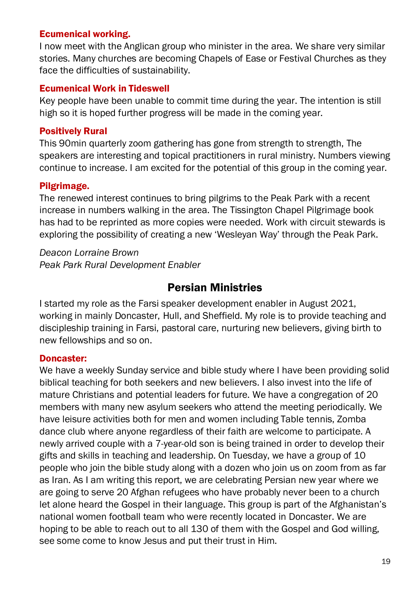#### Ecumenical working.

I now meet with the Anglican group who minister in the area. We share very similar stories. Many churches are becoming Chapels of Ease or Festival Churches as they face the difficulties of sustainability.

#### Ecumenical Work in Tideswell

Key people have been unable to commit time during the year. The intention is still high so it is hoped further progress will be made in the coming year.

#### Positively Rural

This 90min quarterly zoom gathering has gone from strength to strength, The speakers are interesting and topical practitioners in rural ministry. Numbers viewing continue to increase. I am excited for the potential of this group in the coming year.

#### Pilgrimage.

The renewed interest continues to bring pilgrims to the Peak Park with a recent increase in numbers walking in the area. The Tissington Chapel Pilgrimage book has had to be reprinted as more copies were needed. Work with circuit stewards is exploring the possibility of creating a new 'Wesleyan Way' through the Peak Park.

*Deacon Lorraine Brown Peak Park Rural Development Enabler*

### Persian Ministries

<span id="page-20-0"></span>I started my role as the Farsi speaker development enabler in August 2021, working in mainly Doncaster, Hull, and Sheffield. My role is to provide teaching and discipleship training in Farsi, pastoral care, nurturing new believers, giving birth to new fellowships and so on.

#### Doncaster:

We have a weekly Sunday service and bible study where I have been providing solid biblical teaching for both seekers and new believers. I also invest into the life of mature Christians and potential leaders for future. We have a congregation of 20 members with many new asylum seekers who attend the meeting periodically. We have leisure activities both for men and women including Table tennis, Zomba dance club where anyone regardless of their faith are welcome to participate. A newly arrived couple with a 7-year-old son is being trained in order to develop their gifts and skills in teaching and leadership. On Tuesday, we have a group of 10 people who join the bible study along with a dozen who join us on zoom from as far as Iran. As I am writing this report, we are celebrating Persian new year where we are going to serve 20 Afghan refugees who have probably never been to a church let alone heard the Gospel in their language. This group is part of the Afghanistan's national women football team who were recently located in Doncaster. We are hoping to be able to reach out to all 130 of them with the Gospel and God willing, see some come to know Jesus and put their trust in Him.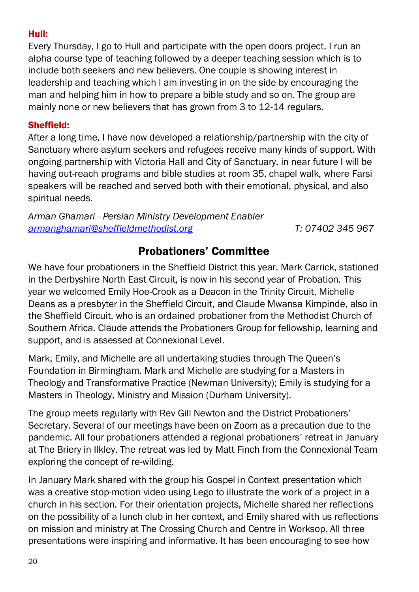#### Hull:

Every Thursday, I go to Hull and participate with the open doors project. I run an alpha course type of teaching followed by a deeper teaching session which is to include both seekers and new believers. One couple is showing interest in leadership and teaching which I am investing in on the side by encouraging the man and helping him in how to prepare a bible study and so on. The group are mainly none or new believers that has grown from 3 to 12-14 regulars.

#### Sheffield:

After a long time, I have now developed a relationship/partnership with the city of Sanctuary where asylum seekers and refugees receive many kinds of support. With ongoing partnership with Victoria Hall and City of Sanctuary, in near future I will be having out-reach programs and bible studies at room 35, chapel walk, where Farsi speakers will be reached and served both with their emotional, physical, and also spiritual needs.

*Arman Ghamari - Persian Ministry Development Enabler [armanghamari@sheffieldmethodist.org](mailto:armanghamari@sheffieldmethodist.org) T: 07402 345 967*

## Probationers' Committee

<span id="page-21-0"></span>We have four probationers in the Sheffield District this year. Mark Carrick, stationed in the Derbyshire North East Circuit, is now in his second year of Probation. This year we welcomed Emily Hoe-Crook as a Deacon in the Trinity Circuit, Michelle Deans as a presbyter in the Sheffield Circuit, and Claude Mwansa Kimpinde, also in the Sheffield Circuit, who is an ordained probationer from the Methodist Church of Southern Africa. Claude attends the Probationers Group for fellowship, learning and support, and is assessed at Connexional Level.

Mark, Emily, and Michelle are all undertaking studies through The Queen's Foundation in Birmingham. Mark and Michelle are studying for a Masters in Theology and Transformative Practice (Newman University); Emily is studying for a Masters in Theology, Ministry and Mission (Durham University).

The group meets regularly with Rev Gill Newton and the District Probationers' Secretary. Several of our meetings have been on Zoom as a precaution due to the pandemic. All four probationers attended a regional probationers' retreat in January at The Briery in Ilkley. The retreat was led by Matt Finch from the Connexional Team exploring the concept of re-wilding.

In January Mark shared with the group his Gospel in Context presentation which was a creative stop-motion video using Lego to illustrate the work of a project in a church in his section. For their orientation projects, Michelle shared her reflections on the possibility of a lunch club in her context, and Emily shared with us reflections on mission and ministry at The Crossing Church and Centre in Worksop. All three presentations were inspiring and informative. It has been encouraging to see how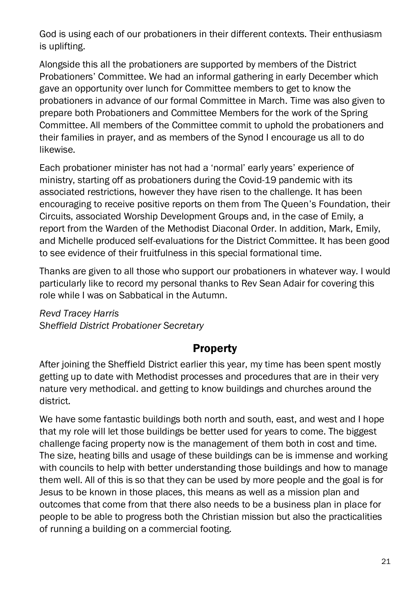God is using each of our probationers in their different contexts. Their enthusiasm is uplifting.

Alongside this all the probationers are supported by members of the District Probationers' Committee. We had an informal gathering in early December which gave an opportunity over lunch for Committee members to get to know the probationers in advance of our formal Committee in March. Time was also given to prepare both Probationers and Committee Members for the work of the Spring Committee. All members of the Committee commit to uphold the probationers and their families in prayer, and as members of the Synod I encourage us all to do likewise.

Each probationer minister has not had a 'normal' early years' experience of ministry, starting off as probationers during the Covid-19 pandemic with its associated restrictions, however they have risen to the challenge. It has been encouraging to receive positive reports on them from The Queen's Foundation, their Circuits, associated Worship Development Groups and, in the case of Emily, a report from the Warden of the Methodist Diaconal Order. In addition, Mark, Emily, and Michelle produced self-evaluations for the District Committee. It has been good to see evidence of their fruitfulness in this special formational time.

Thanks are given to all those who support our probationers in whatever way. I would particularly like to record my personal thanks to Rev Sean Adair for covering this role while I was on Sabbatical in the Autumn.

*Revd Tracey Harris Sheffield District Probationer Secretary*

## **Property**

<span id="page-22-0"></span>After joining the Sheffield District earlier this year, my time has been spent mostly getting up to date with Methodist processes and procedures that are in their very nature very methodical. and getting to know buildings and churches around the district.

We have some fantastic buildings both north and south, east, and west and I hope that my role will let those buildings be better used for years to come. The biggest challenge facing property now is the management of them both in cost and time. The size, heating bills and usage of these buildings can be is immense and working with councils to help with better understanding those buildings and how to manage them well. All of this is so that they can be used by more people and the goal is for Jesus to be known in those places, this means as well as a mission plan and outcomes that come from that there also needs to be a business plan in place for people to be able to progress both the Christian mission but also the practicalities of running a building on a commercial footing.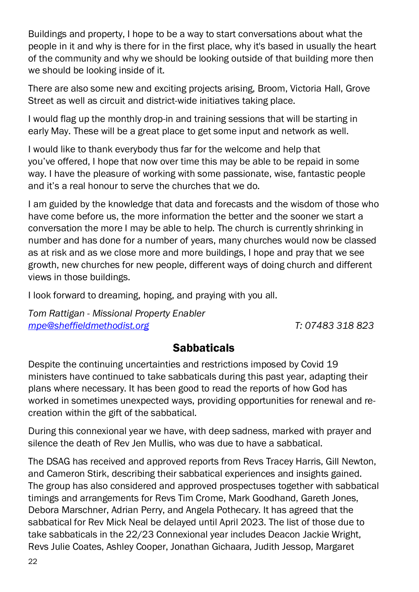Buildings and property, I hope to be a way to start conversations about what the people in it and why is there for in the first place, why it's based in usually the heart of the community and why we should be looking outside of that building more then we should be looking inside of it.

There are also some new and exciting projects arising, Broom, Victoria Hall, Grove Street as well as circuit and district-wide initiatives taking place.

I would flag up the monthly drop-in and training sessions that will be starting in early May. These will be a great place to get some input and network as well.

I would like to thank everybody thus far for the welcome and help that you've offered, I hope that now over time this may be able to be repaid in some way. I have the pleasure of working with some passionate, wise, fantastic people and it's a real honour to serve the churches that we do.

I am guided by the knowledge that data and forecasts and the wisdom of those who have come before us, the more information the better and the sooner we start a conversation the more I may be able to help. The church is currently shrinking in number and has done for a number of years, many churches would now be classed as at risk and as we close more and more buildings, I hope and pray that we see growth, new churches for new people, different ways of doing church and different views in those buildings.

I look forward to dreaming, hoping, and praying with you all.

*Tom Rattigan - Missional Property Enabler [mpe@sheffieldmethodist.org](mailto:mpe@sheffieldmethodist.org) T: 07483 318 823*

### **Sabbaticals**

<span id="page-23-0"></span>Despite the continuing uncertainties and restrictions imposed by Covid 19 ministers have continued to take sabbaticals during this past year, adapting their plans where necessary. It has been good to read the reports of how God has worked in sometimes unexpected ways, providing opportunities for renewal and recreation within the gift of the sabbatical.

During this connexional year we have, with deep sadness, marked with prayer and silence the death of Rev Jen Mullis, who was due to have a sabbatical.

The DSAG has received and approved reports from Revs Tracey Harris, Gill Newton, and Cameron Stirk, describing their sabbatical experiences and insights gained. The group has also considered and approved prospectuses together with sabbatical timings and arrangements for Revs Tim Crome, Mark Goodhand, Gareth Jones, Debora Marschner, Adrian Perry, and Angela Pothecary. It has agreed that the sabbatical for Rev Mick Neal be delayed until April 2023. The list of those due to take sabbaticals in the 22/23 Connexional year includes Deacon Jackie Wright, Revs Julie Coates, Ashley Cooper, Jonathan Gichaara, Judith Jessop, Margaret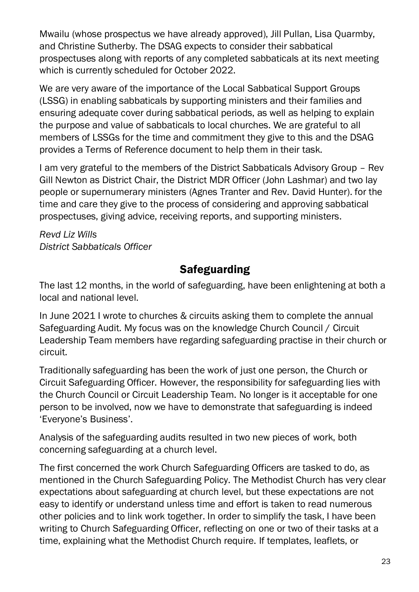Mwailu (whose prospectus we have already approved), Jill Pullan, Lisa Quarmby, and Christine Sutherby. The DSAG expects to consider their sabbatical prospectuses along with reports of any completed sabbaticals at its next meeting which is currently scheduled for October 2022.

We are very aware of the importance of the Local Sabbatical Support Groups (LSSG) in enabling sabbaticals by supporting ministers and their families and ensuring adequate cover during sabbatical periods, as well as helping to explain the purpose and value of sabbaticals to local churches. We are grateful to all members of LSSGs for the time and commitment they give to this and the DSAG provides a Terms of Reference document to help them in their task.

I am very grateful to the members of the District Sabbaticals Advisory Group – Rev Gill Newton as District Chair, the District MDR Officer (John Lashmar) and two lay people or supernumerary ministers (Agnes Tranter and Rev. David Hunter). for the time and care they give to the process of considering and approving sabbatical prospectuses, giving advice, receiving reports, and supporting ministers.

*Revd Liz Wills District Sabbaticals Officer*

## **Safeguarding**

<span id="page-24-0"></span>The last 12 months, in the world of safeguarding, have been enlightening at both a local and national level.

In June 2021 I wrote to churches & circuits asking them to complete the annual Safeguarding Audit. My focus was on the knowledge Church Council / Circuit Leadership Team members have regarding safeguarding practise in their church or circuit.

Traditionally safeguarding has been the work of just one person, the Church or Circuit Safeguarding Officer. However, the responsibility for safeguarding lies with the Church Council or Circuit Leadership Team. No longer is it acceptable for one person to be involved, now we have to demonstrate that safeguarding is indeed 'Everyone's Business'.

Analysis of the safeguarding audits resulted in two new pieces of work, both concerning safeguarding at a church level.

The first concerned the work Church Safeguarding Officers are tasked to do, as mentioned in the Church Safeguarding Policy. The Methodist Church has very clear expectations about safeguarding at church level, but these expectations are not easy to identify or understand unless time and effort is taken to read numerous other policies and to link work together. In order to simplify the task, I have been writing to Church Safeguarding Officer, reflecting on one or two of their tasks at a time, explaining what the Methodist Church require. If templates, leaflets, or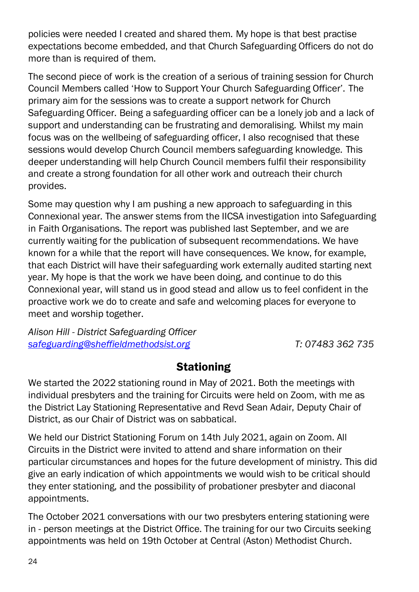policies were needed I created and shared them. My hope is that best practise expectations become embedded, and that Church Safeguarding Officers do not do more than is required of them.

The second piece of work is the creation of a serious of training session for Church Council Members called 'How to Support Your Church Safeguarding Officer'. The primary aim for the sessions was to create a support network for Church Safeguarding Officer. Being a safeguarding officer can be a lonely job and a lack of support and understanding can be frustrating and demoralising. Whilst my main focus was on the wellbeing of safeguarding officer, I also recognised that these sessions would develop Church Council members safeguarding knowledge. This deeper understanding will help Church Council members fulfil their responsibility and create a strong foundation for all other work and outreach their church provides.

Some may question why I am pushing a new approach to safeguarding in this Connexional year. The answer stems from the IICSA investigation into Safeguarding in Faith Organisations. The report was published last September, and we are currently waiting for the publication of subsequent recommendations. We have known for a while that the report will have consequences. We know, for example, that each District will have their safeguarding work externally audited starting next year. My hope is that the work we have been doing, and continue to do this Connexional year, will stand us in good stead and allow us to feel confident in the proactive work we do to create and safe and welcoming places for everyone to meet and worship together.

*Alison Hill - District Safeguarding Officer [safeguarding@sheffieldmethodsist.org](mailto:safeguarding@sheffieldmethodsist.org) T: 07483 362 735*

### **Stationing**

<span id="page-25-0"></span>We started the 2022 stationing round in May of 2021. Both the meetings with individual presbyters and the training for Circuits were held on Zoom, with me as the District Lay Stationing Representative and Revd Sean Adair, Deputy Chair of District, as our Chair of District was on sabbatical.

We held our District Stationing Forum on 14th July 2021, again on Zoom. All Circuits in the District were invited to attend and share information on their particular circumstances and hopes for the future development of ministry. This did give an early indication of which appointments we would wish to be critical should they enter stationing, and the possibility of probationer presbyter and diaconal appointments.

The October 2021 conversations with our two presbyters entering stationing were in - person meetings at the District Office. The training for our two Circuits seeking appointments was held on 19th October at Central (Aston) Methodist Church.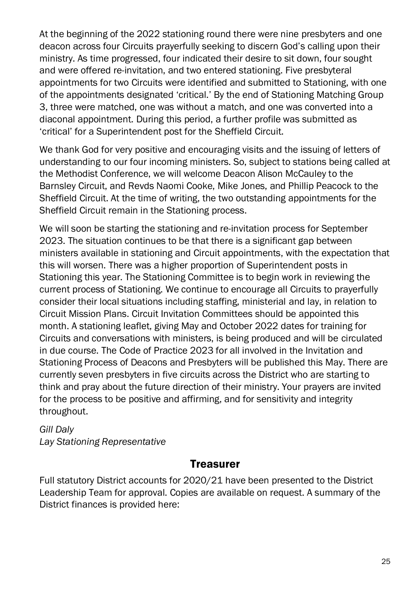At the beginning of the 2022 stationing round there were nine presbyters and one deacon across four Circuits prayerfully seeking to discern God's calling upon their ministry. As time progressed, four indicated their desire to sit down, four sought and were offered re-invitation, and two entered stationing. Five presbyteral appointments for two Circuits were identified and submitted to Stationing, with one of the appointments designated 'critical.' By the end of Stationing Matching Group 3, three were matched, one was without a match, and one was converted into a diaconal appointment. During this period, a further profile was submitted as 'critical' for a Superintendent post for the Sheffield Circuit.

We thank God for very positive and encouraging visits and the issuing of letters of understanding to our four incoming ministers. So, subject to stations being called at the Methodist Conference, we will welcome Deacon Alison McCauley to the Barnsley Circuit, and Revds Naomi Cooke, Mike Jones, and Phillip Peacock to the Sheffield Circuit. At the time of writing, the two outstanding appointments for the Sheffield Circuit remain in the Stationing process.

We will soon be starting the stationing and re-invitation process for September 2023. The situation continues to be that there is a significant gap between ministers available in stationing and Circuit appointments, with the expectation that this will worsen. There was a higher proportion of Superintendent posts in Stationing this year. The Stationing Committee is to begin work in reviewing the current process of Stationing. We continue to encourage all Circuits to prayerfully consider their local situations including staffing, ministerial and lay, in relation to Circuit Mission Plans. Circuit Invitation Committees should be appointed this month. A stationing leaflet, giving May and October 2022 dates for training for Circuits and conversations with ministers, is being produced and will be circulated in due course. The Code of Practice 2023 for all involved in the Invitation and Stationing Process of Deacons and Presbyters will be published this May. There are currently seven presbyters in five circuits across the District who are starting to think and pray about the future direction of their ministry. Your prayers are invited for the process to be positive and affirming, and for sensitivity and integrity throughout.

### *Gill Daly*

<span id="page-26-0"></span>*Lay Stationing Representative*

#### **Treasurer**

Full statutory District accounts for 2020/21 have been presented to the District Leadership Team for approval. Copies are available on request. A summary of the District finances is provided here: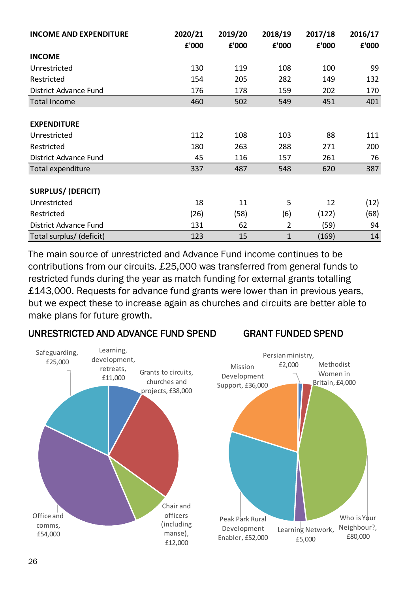| <b>INCOME AND EXPENDITURE</b> | 2020/21 | 2019/20 | 2018/19        | 2017/18 | 2016/17 |
|-------------------------------|---------|---------|----------------|---------|---------|
|                               | £'000   | £'000   | £'000          | £'000   | £'000   |
| <b>INCOME</b>                 |         |         |                |         |         |
| Unrestricted                  | 130     | 119     | 108            | 100     | 99      |
| Restricted                    | 154     | 205     | 282            | 149     | 132     |
| <b>District Advance Fund</b>  | 176     | 178     | 159            | 202     | 170     |
| <b>Total Income</b>           | 460     | 502     | 549            | 451     | 401     |
|                               |         |         |                |         |         |
| <b>EXPENDITURE</b>            |         |         |                |         |         |
| Unrestricted                  | 112     | 108     | 103            | 88      | 111     |
| Restricted                    | 180     | 263     | 288            | 271     | 200     |
| District Advance Fund         | 45      | 116     | 157            | 261     | 76      |
| Total expenditure             | 337     | 487     | 548            | 620     | 387     |
|                               |         |         |                |         |         |
| <b>SURPLUS/ (DEFICIT)</b>     |         |         |                |         |         |
| Unrestricted                  | 18      | 11      | 5              | 12      | (12)    |
| Restricted                    | (26)    | (58)    | (6)            | (122)   | (68)    |
| District Advance Fund         | 131     | 62      | $\overline{2}$ | (59)    | 94      |
| Total surplus/ (deficit)      | 123     | 15      | $\mathbf{1}$   | (169)   | 14      |

The main source of unrestricted and Advance Fund income continues to be contributions from our circuits. £25,000 was transferred from general funds to restricted funds during the year as match funding for external grants totalling £143,000. Requests for advance fund grants were lower than in previous years, but we expect these to increase again as churches and circuits are better able to make plans for future growth.

#### UNRESTRICTED AND ADVANCE FUND SPEND GRANT FUNDED SPEND

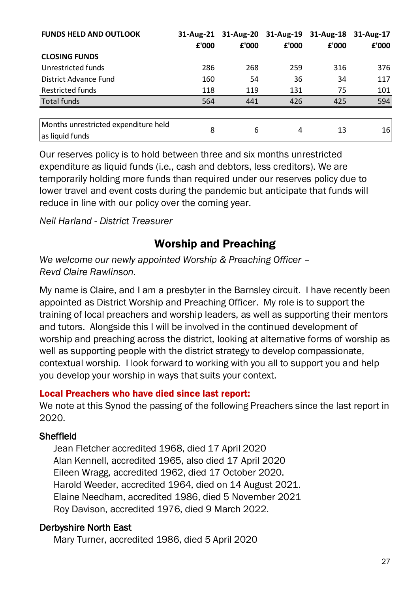| <b>FUNDS HELD AND OUTLOOK</b>                           | 31-Aug-21<br>£'000 | £'000 | 31-Aug-20 31-Aug-19<br>£'000 | 31-Aug-18<br>£'000 | 31-Aug-17<br>£'000 |
|---------------------------------------------------------|--------------------|-------|------------------------------|--------------------|--------------------|
| <b>CLOSING FUNDS</b>                                    |                    |       |                              |                    |                    |
| Unrestricted funds                                      | 286                | 268   | 259                          | 316                | 376                |
| District Advance Fund                                   | 160                | 54    | 36                           | 34                 | 117                |
| <b>Restricted funds</b>                                 | 118                | 119   | 131                          | 75                 | 101                |
| <b>Total funds</b>                                      | 564                | 441   | 426                          | 425                | 594                |
|                                                         |                    |       |                              |                    |                    |
| Months unrestricted expenditure held<br>as liquid funds | 8                  | 6     | 4                            | 13                 | 16                 |

Our reserves policy is to hold between three and six months unrestricted expenditure as liquid funds (i.e., cash and debtors, less creditors). We are temporarily holding more funds than required under our reserves policy due to lower travel and event costs during the pandemic but anticipate that funds will reduce in line with our policy over the coming year.

<span id="page-28-0"></span>*Neil Harland - District Treasurer*

## Worship and Preaching

*We welcome our newly appointed Worship & Preaching Officer – Revd Claire Rawlinson.*

My name is Claire, and I am a presbyter in the Barnsley circuit. I have recently been appointed as District Worship and Preaching Officer. My role is to support the training of local preachers and worship leaders, as well as supporting their mentors and tutors. Alongside this I will be involved in the continued development of worship and preaching across the district, looking at alternative forms of worship as well as supporting people with the district strategy to develop compassionate, contextual worship. I look forward to working with you all to support you and help you develop your worship in ways that suits your context.

#### Local Preachers who have died since last report:

We note at this Synod the passing of the following Preachers since the last report in 2020.

#### Sheffield

Jean Fletcher accredited 1968, died 17 April 2020 Alan Kennell, accredited 1965, also died 17 April 2020 Eileen Wragg, accredited 1962, died 17 October 2020. Harold Weeder, accredited 1964, died on 14 August 2021. Elaine Needham, accredited 1986, died 5 November 2021 Roy Davison, accredited 1976, died 9 March 2022.

#### Derbyshire North East

Mary Turner, accredited 1986, died 5 April 2020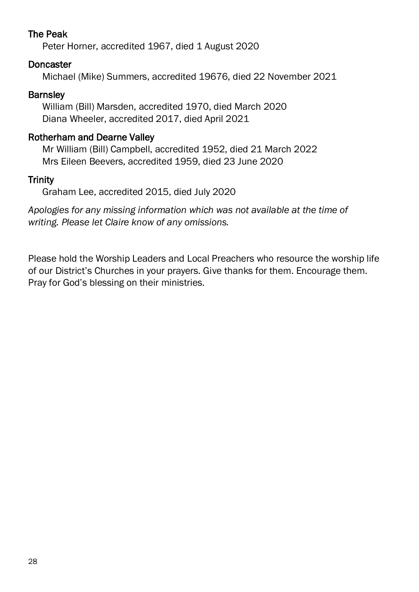#### The Peak

Peter Horner, accredited 1967, died 1 August 2020

#### Doncaster

Michael (Mike) Summers, accredited 19676, died 22 November 2021

#### **Barnsley**

William (Bill) Marsden, accredited 1970, died March 2020 Diana Wheeler, accredited 2017, died April 2021

#### Rotherham and Dearne Valley

Mr William (Bill) Campbell, accredited 1952, died 21 March 2022 Mrs Eileen Beevers, accredited 1959, died 23 June 2020

### **Trinity**

Graham Lee, accredited 2015, died July 2020

*Apologies for any missing information which was not available at the time of writing. Please let Claire know of any omissions.*

Please hold the Worship Leaders and Local Preachers who resource the worship life of our District's Churches in your prayers. Give thanks for them. Encourage them. Pray for God's blessing on their ministries.